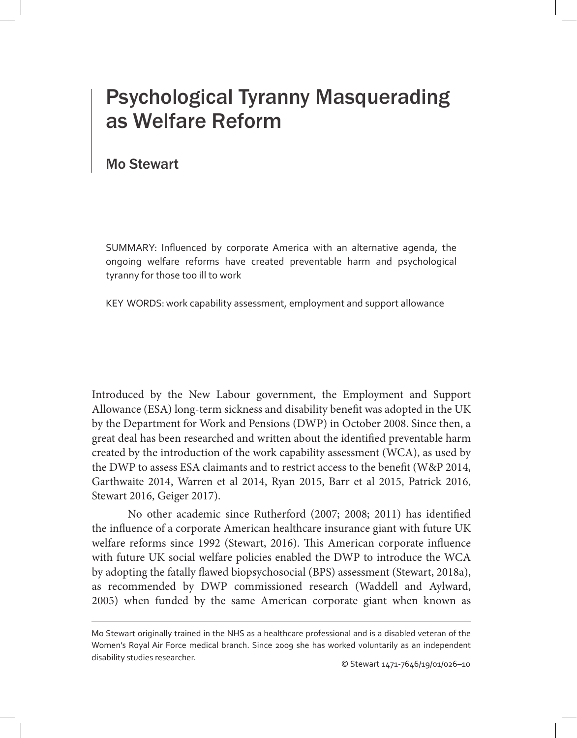## Psychological Tyranny Masquerading as Welfare Reform

## Mo Stewart

SUMMARY: Influenced by corporate America with an alternative agenda, the ongoing welfare reforms have created preventable harm and psychological tyranny for those too ill to work

KEY WORDS: work capability assessment, employment and support allowance

Introduced by the New Labour government, the Employment and Support Allowance (ESA) long-term sickness and disability benefit was adopted in the UK by the Department for Work and Pensions (DWP) in October 2008. Since then, a great deal has been researched and written about the identified preventable harm created by the introduction of the work capability assessment (WCA), as used by the DWP to assess ESA claimants and to restrict access to the benefit (W&P 2014, Garthwaite 2014, Warren et al 2014, Ryan 2015, Barr et al 2015, Patrick 2016, Stewart 2016, Geiger 2017).

No other academic since Rutherford (2007; 2008; 2011) has identified the influence of a corporate American healthcare insurance giant with future UK welfare reforms since 1992 (Stewart, 2016). This American corporate influence with future UK social welfare policies enabled the DWP to introduce the WCA by adopting the fatally flawed biopsychosocial (BPS) assessment (Stewart, 2018a), as recommended by DWP commissioned research (Waddell and Aylward, 2005) when funded by the same American corporate giant when known as

Mo Stewart originally trained in the NHS as a healthcare professional and is a disabled veteran of the Women's Royal Air Force medical branch. Since 2009 she has worked voluntarily as an independent disability studies researcher.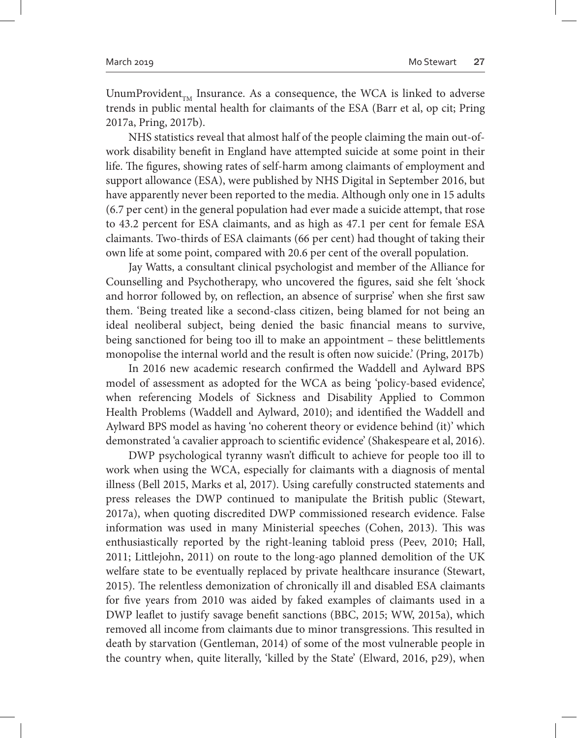UnumProvident $_{TM}$  Insurance. As a consequence, the WCA is linked to adverse trends in public mental health for claimants of the ESA (Barr et al, op cit; Pring 2017a, Pring, 2017b).

NHS statistics reveal that almost half of the people claiming the main out-ofwork disability benefit in England have attempted suicide at some point in their life. The figures, showing rates of self-harm among claimants of employment and support allowance (ESA), were published by NHS Digital in September 2016, but have apparently never been reported to the media. Although only one in 15 adults (6.7 per cent) in the general population had ever made a suicide attempt, that rose to 43.2 percent for ESA claimants, and as high as 47.1 per cent for female ESA claimants. Two-thirds of ESA claimants (66 per cent) had thought of taking their own life at some point, compared with 20.6 per cent of the overall population.

Jay Watts, a consultant clinical psychologist and member of the Alliance for Counselling and Psychotherapy, who uncovered the figures, said she felt 'shock and horror followed by, on reflection, an absence of surprise' when she first saw them. 'Being treated like a second-class citizen, being blamed for not being an ideal neoliberal subject, being denied the basic financial means to survive, being sanctioned for being too ill to make an appointment – these belittlements monopolise the internal world and the result is often now suicide.' (Pring, 2017b)

In 2016 new academic research confirmed the Waddell and Aylward BPS model of assessment as adopted for the WCA as being 'policy-based evidence', when referencing Models of Sickness and Disability Applied to Common Health Problems (Waddell and Aylward, 2010); and identified the Waddell and Aylward BPS model as having 'no coherent theory or evidence behind (it)' which demonstrated 'a cavalier approach to scientific evidence' (Shakespeare et al, 2016).

DWP psychological tyranny wasn't difficult to achieve for people too ill to work when using the WCA, especially for claimants with a diagnosis of mental illness (Bell 2015, Marks et al, 2017). Using carefully constructed statements and press releases the DWP continued to manipulate the British public (Stewart, 2017a), when quoting discredited DWP commissioned research evidence. False information was used in many Ministerial speeches (Cohen, 2013). This was enthusiastically reported by the right-leaning tabloid press (Peev, 2010; Hall, 2011; Littlejohn, 2011) on route to the long-ago planned demolition of the UK welfare state to be eventually replaced by private healthcare insurance (Stewart, 2015). The relentless demonization of chronically ill and disabled ESA claimants for five years from 2010 was aided by faked examples of claimants used in a DWP leaflet to justify savage benefit sanctions (BBC, 2015; WW, 2015a), which removed all income from claimants due to minor transgressions. This resulted in death by starvation (Gentleman, 2014) of some of the most vulnerable people in the country when, quite literally, 'killed by the State' (Elward, 2016, p29), when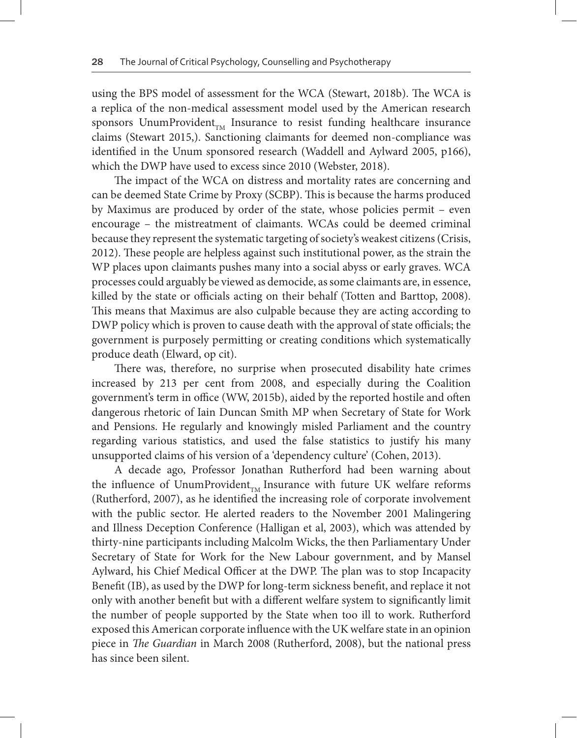using the BPS model of assessment for the WCA (Stewart, 2018b). The WCA is a replica of the non-medical assessment model used by the American research sponsors UnumProvident $_{TM}$  Insurance to resist funding healthcare insurance claims (Stewart 2015,). Sanctioning claimants for deemed non-compliance was identified in the Unum sponsored research (Waddell and Aylward 2005, p166), which the DWP have used to excess since 2010 (Webster, 2018).

The impact of the WCA on distress and mortality rates are concerning and can be deemed State Crime by Proxy (SCBP). This is because the harms produced by Maximus are produced by order of the state, whose policies permit – even encourage – the mistreatment of claimants. WCAs could be deemed criminal because they represent the systematic targeting of society's weakest citizens (Crisis, 2012). These people are helpless against such institutional power, as the strain the WP places upon claimants pushes many into a social abyss or early graves. WCA processes could arguably be viewed as democide, as some claimants are, in essence, killed by the state or officials acting on their behalf (Totten and Barttop, 2008). This means that Maximus are also culpable because they are acting according to DWP policy which is proven to cause death with the approval of state officials; the government is purposely permitting or creating conditions which systematically produce death (Elward, op cit).

There was, therefore, no surprise when prosecuted disability hate crimes increased by 213 per cent from 2008, and especially during the Coalition government's term in office (WW, 2015b), aided by the reported hostile and often dangerous rhetoric of Iain Duncan Smith MP when Secretary of State for Work and Pensions. He regularly and knowingly misled Parliament and the country regarding various statistics, and used the false statistics to justify his many unsupported claims of his version of a 'dependency culture' (Cohen, 2013).

A decade ago, Professor Jonathan Rutherford had been warning about the influence of UnumProvident<sub>rM</sub> Insurance with future UK welfare reforms (Rutherford, 2007), as he identified the increasing role of corporate involvement with the public sector. He alerted readers to the November 2001 Malingering and Illness Deception Conference (Halligan et al, 2003), which was attended by thirty-nine participants including Malcolm Wicks, the then Parliamentary Under Secretary of State for Work for the New Labour government, and by Mansel Aylward, his Chief Medical Officer at the DWP. The plan was to stop Incapacity Benefit (IB), as used by the DWP for long-term sickness benefit, and replace it not only with another benefit but with a different welfare system to significantly limit the number of people supported by the State when too ill to work. Rutherford exposed this American corporate influence with the UK welfare state in an opinion piece in *The Guardian* in March 2008 (Rutherford, 2008), but the national press has since been silent.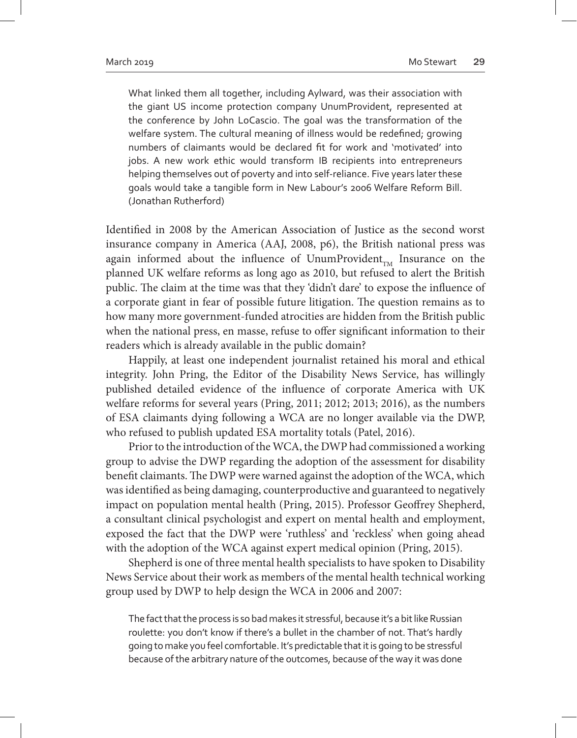What linked them all together, including Aylward, was their association with the giant US income protection company UnumProvident, represented at the conference by John LoCascio. The goal was the transformation of the welfare system. The cultural meaning of illness would be redefined; growing numbers of claimants would be declared fit for work and 'motivated' into jobs. A new work ethic would transform IB recipients into entrepreneurs helping themselves out of poverty and into self-reliance. Five years later these goals would take a tangible form in New Labour's 2006 Welfare Reform Bill. (Jonathan Rutherford)

Identified in 2008 by the American Association of Justice as the second worst insurance company in America (AAJ, 2008, p6), the British national press was again informed about the influence of UnumProvident<sub>TM</sub> Insurance on the planned UK welfare reforms as long ago as 2010, but refused to alert the British public. The claim at the time was that they 'didn't dare' to expose the influence of a corporate giant in fear of possible future litigation. The question remains as to how many more government-funded atrocities are hidden from the British public when the national press, en masse, refuse to offer significant information to their readers which is already available in the public domain?

Happily, at least one independent journalist retained his moral and ethical integrity. John Pring, the Editor of the Disability News Service, has willingly published detailed evidence of the influence of corporate America with UK welfare reforms for several years (Pring, 2011; 2012; 2013; 2016), as the numbers of ESA claimants dying following a WCA are no longer available via the DWP, who refused to publish updated ESA mortality totals (Patel, 2016).

Prior to the introduction of the WCA, the DWP had commissioned a working group to advise the DWP regarding the adoption of the assessment for disability benefit claimants. The DWP were warned against the adoption of the WCA, which was identified as being damaging, counterproductive and guaranteed to negatively impact on population mental health (Pring, 2015). Professor Geoffrey Shepherd, a consultant clinical psychologist and expert on mental health and employment, exposed the fact that the DWP were 'ruthless' and 'reckless' when going ahead with the adoption of the WCA against expert medical opinion (Pring, 2015).

Shepherd is one of three mental health specialists to have spoken to Disability News Service about their work as members of the mental health technical working group used by DWP to help design the WCA in 2006 and 2007:

The fact that the process is so bad makes it stressful, because it's a bit like Russian roulette: you don't know if there's a bullet in the chamber of not. That's hardly going to make you feel comfortable. It's predictable that it is going to be stressful because of the arbitrary nature of the outcomes, because of the way it was done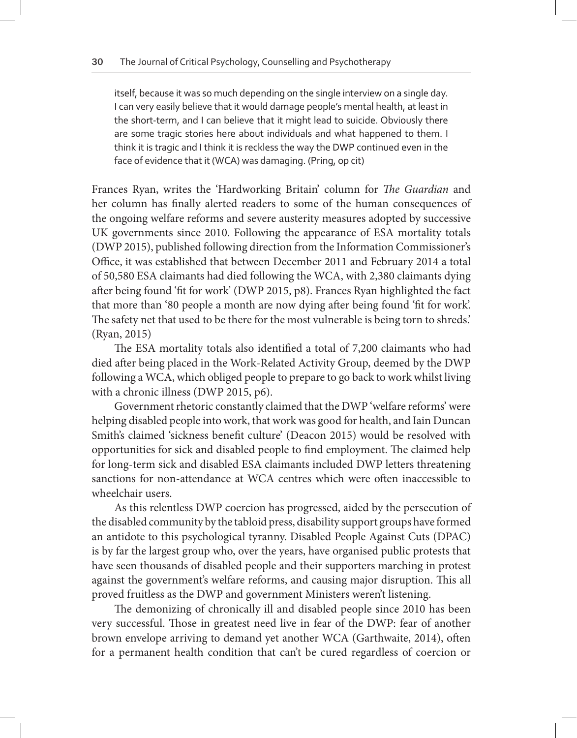itself, because it was so much depending on the single interview on a single day. I can very easily believe that it would damage people's mental health, at least in the short-term, and I can believe that it might lead to suicide. Obviously there are some tragic stories here about individuals and what happened to them. I think it is tragic and I think it is reckless the way the DWP continued even in the face of evidence that it (WCA) was damaging. (Pring, op cit)

Frances Ryan, writes the 'Hardworking Britain' column for *The Guardian* and her column has finally alerted readers to some of the human consequences of the ongoing welfare reforms and severe austerity measures adopted by successive UK governments since 2010. Following the appearance of ESA mortality totals (DWP 2015), published following direction from the Information Commissioner's Office, it was established that between December 2011 and February 2014 a total of 50,580 ESA claimants had died following the WCA, with 2,380 claimants dying after being found 'fit for work' (DWP 2015, p8). Frances Ryan highlighted the fact that more than '80 people a month are now dying after being found 'fit for work'. The safety net that used to be there for the most vulnerable is being torn to shreds.' (Ryan, 2015)

The ESA mortality totals also identified a total of 7,200 claimants who had died after being placed in the Work-Related Activity Group, deemed by the DWP following a WCA, which obliged people to prepare to go back to work whilst living with a chronic illness (DWP 2015, p6).

Government rhetoric constantly claimed that the DWP 'welfare reforms' were helping disabled people into work, that work was good for health, and Iain Duncan Smith's claimed 'sickness benefit culture' (Deacon 2015) would be resolved with opportunities for sick and disabled people to find employment. The claimed help for long-term sick and disabled ESA claimants included DWP letters threatening sanctions for non-attendance at WCA centres which were often inaccessible to wheelchair users.

As this relentless DWP coercion has progressed, aided by the persecution of the disabled community by the tabloid press, disability support groups have formed an antidote to this psychological tyranny. Disabled People Against Cuts (DPAC) is by far the largest group who, over the years, have organised public protests that have seen thousands of disabled people and their supporters marching in protest against the government's welfare reforms, and causing major disruption. This all proved fruitless as the DWP and government Ministers weren't listening.

The demonizing of chronically ill and disabled people since 2010 has been very successful. Those in greatest need live in fear of the DWP: fear of another brown envelope arriving to demand yet another WCA (Garthwaite, 2014), often for a permanent health condition that can't be cured regardless of coercion or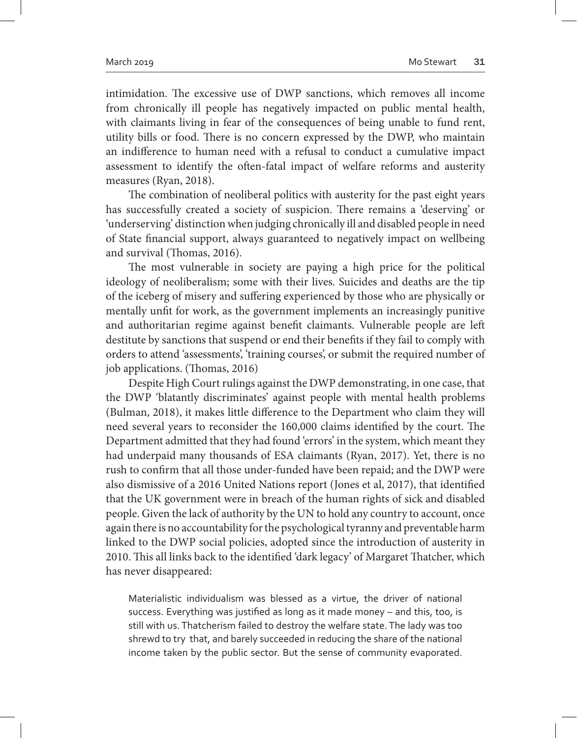intimidation. The excessive use of DWP sanctions, which removes all income from chronically ill people has negatively impacted on public mental health, with claimants living in fear of the consequences of being unable to fund rent, utility bills or food. There is no concern expressed by the DWP, who maintain an indifference to human need with a refusal to conduct a cumulative impact assessment to identify the often-fatal impact of welfare reforms and austerity measures (Ryan, 2018).

The combination of neoliberal politics with austerity for the past eight years has successfully created a society of suspicion. There remains a 'deserving' or 'underserving' distinction when judging chronically ill and disabled people in need of State financial support, always guaranteed to negatively impact on wellbeing and survival (Thomas, 2016).

The most vulnerable in society are paying a high price for the political ideology of neoliberalism; some with their lives. Suicides and deaths are the tip of the iceberg of misery and suffering experienced by those who are physically or mentally unfit for work, as the government implements an increasingly punitive and authoritarian regime against benefit claimants. Vulnerable people are left destitute by sanctions that suspend or end their benefits if they fail to comply with orders to attend 'assessments', 'training courses', or submit the required number of job applications. (Thomas, 2016)

Despite High Court rulings against the DWP demonstrating, in one case, that the DWP 'blatantly discriminates' against people with mental health problems (Bulman, 2018), it makes little difference to the Department who claim they will need several years to reconsider the 160,000 claims identified by the court. The Department admitted that they had found 'errors' in the system, which meant they had underpaid many thousands of ESA claimants (Ryan, 2017). Yet, there is no rush to confirm that all those under-funded have been repaid; and the DWP were also dismissive of a 2016 United Nations report (Jones et al, 2017), that identified that the UK government were in breach of the human rights of sick and disabled people. Given the lack of authority by the UN to hold any country to account, once again there is no accountability for the psychological tyranny and preventable harm linked to the DWP social policies, adopted since the introduction of austerity in 2010. This all links back to the identified 'dark legacy' of Margaret Thatcher, which has never disappeared:

Materialistic individualism was blessed as a virtue, the driver of national success. Everything was justified as long as it made money – and this, too, is still with us. Thatcherism failed to destroy the welfare state. The lady was too shrewd to try that, and barely succeeded in reducing the share of the national income taken by the public sector. But the sense of community evaporated.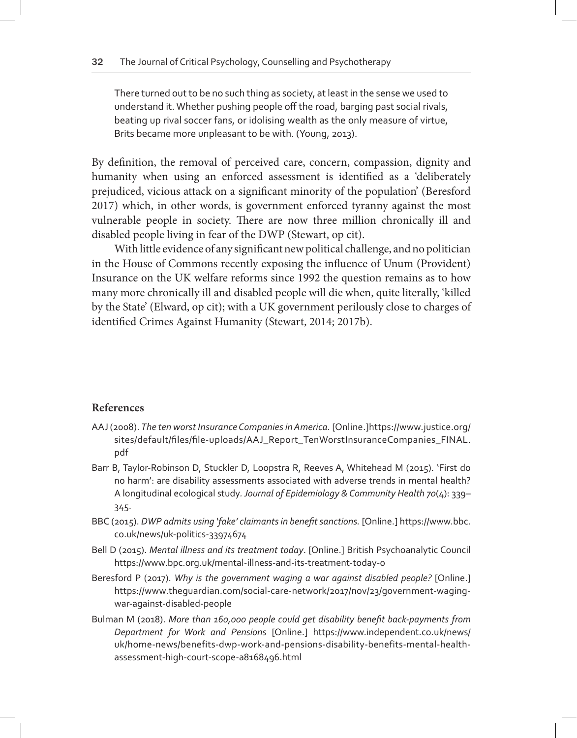There turned out to be no such thing as society, at least in the sense we used to understand it. Whether pushing people off the road, barging past social rivals, beating up rival soccer fans, or idolising wealth as the only measure of virtue, Brits became more unpleasant to be with. (Young, 2013).

By definition, the removal of perceived care, concern, compassion, dignity and humanity when using an enforced assessment is identified as a 'deliberately prejudiced, vicious attack on a significant minority of the population' (Beresford 2017) which, in other words, is government enforced tyranny against the most vulnerable people in society. There are now three million chronically ill and disabled people living in fear of the DWP (Stewart, op cit).

With little evidence of any significant new political challenge, and no politician in the House of Commons recently exposing the influence of Unum (Provident) Insurance on the UK welfare reforms since 1992 the question remains as to how many more chronically ill and disabled people will die when, quite literally, 'killed by the State' (Elward, op cit); with a UK government perilously close to charges of identified Crimes Against Humanity (Stewart, 2014; 2017b).

## **References**

- AAJ (2008). *The ten worst Insurance Companies in America.* [Online.]https://www.justice.org/ sites/default/files/file-uploads/AAJ\_Report\_TenWorstInsuranceCompanies\_FINAL. pdf
- Barr B, Taylor-Robinson D, Stuckler D, Loopstra R, Reeves A, Whitehead M (2015). 'First do no harm': are disability assessments associated with adverse trends in mental health? A longitudinal ecological study*. Journal of Epidemiology & Community Health 70*(4): 339– 345.
- BBC (2015). *DWP admits using 'fake' claimants in benefit sanctions.* [Online.] https://www.bbc. co.uk/news/uk-politics-33974674
- Bell D (2015). *Mental illness and its treatment today*. [Online.] British Psychoanalytic Council https://www.bpc.org.uk/mental-illness-and-its-treatment-today-0
- Beresford P (2017). *Why is the government waging a war against disabled people?* [Online.] https://www.theguardian.com/social-care-network/2017/nov/23/government-wagingwar-against-disabled-people
- Bulman M (2018). *More than 160,000 people could get disability benefit back-payments from Department for Work and Pensions* [Online.] https://www.independent.co.uk/news/ uk/home-news/benefits-dwp-work-and-pensions-disability-benefits-mental-healthassessment-high-court-scope-a8168496.html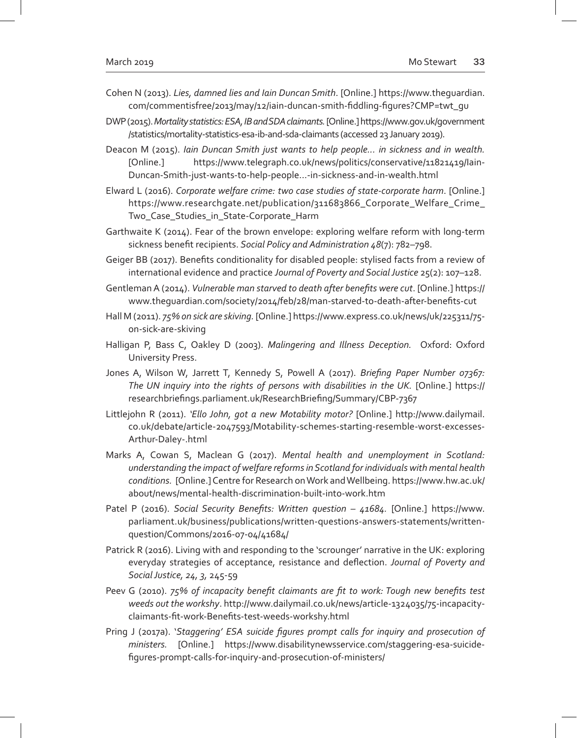- Cohen N (2013). *Lies, damned lies and Iain Duncan Smith*. [Online.] https://www.theguardian. com/commentisfree/2013/may/12/iain-duncan-smith-fiddling-figures?CMP=twt\_gu
- DWP (2015). *Mortality statistics: ESA, IB and SDA claimants.* [Online.] https://www.gov.uk/government /statistics/mortality-statistics-esa-ib-and-sda-claimants (accessed 23 January 2019).
- Deacon M (2015). *Iain Duncan Smith just wants to help people... in sickness and in wealth.*  [Online.] https://www.telegraph.co.uk/news/politics/conservative/11821419/Iain-Duncan-Smith-just-wants-to-help-people...-in-sickness-and-in-wealth.html
- Elward L (2016). *Corporate welfare crime: two case studies of state-corporate harm*. [Online.] https://www.researchgate.net/publication/311683866\_Corporate\_Welfare\_Crime\_ Two\_Case\_Studies\_in\_State-Corporate\_Harm
- Garthwaite K (2014). Fear of the brown envelope: exploring welfare reform with long-term sickness benefit recipients. *Social Policy and Administration 48*(7): 782–798.
- Geiger BB (2017). Benefits conditionality for disabled people: stylised facts from a review of international evidence and practice *Journal of Poverty and Social Justice* 25(2): 107–128.
- Gentleman A (2014). *Vulnerable man starved to death after benefits were cut*. [Online.] https:// www.theguardian.com/society/2014/feb/28/man-starved-to-death-after-benefits-cut
- Hall M (2011). *75% on sick are skiving.* [Online.] https://www.express.co.uk/news/uk/225311/75 on-sick-are-skiving
- Halligan P, Bass C, Oakley D (2003). *Malingering and Illness Deception.* Oxford: Oxford University Press.
- Jones A, Wilson W, Jarrett T, Kennedy S, Powell A (2017). *Briefing Paper Number 07367: The UN inquiry into the rights of persons with disabilities in the UK.* [Online.] https:// researchbriefings.parliament.uk/ResearchBriefing/Summary/CBP-7367
- Littlejohn R (2011). *'Ello John, got a new Motability motor?* [Online.] http://www.dailymail. co.uk/debate/article-2047593/Motability-schemes-starting-resemble-worst-excesses-Arthur-Daley-.html
- Marks A, Cowan S, Maclean G (2017). *Mental health and unemployment in Scotland: understanding the impact of welfare reforms in Scotland for individuals with mental health conditions.* [Online.] Centre for Research on Work and Wellbeing. https://www.hw.ac.uk/ about/news/mental-health-discrimination-built-into-work.htm
- Patel P (2016). *Social Security Benefits: Written question 41684*. [Online.] https://www. parliament.uk/business/publications/written-questions-answers-statements/writtenquestion/Commons/2016-07-04/41684/
- Patrick R (2016). Living with and responding to the 'scrounger' narrative in the UK: exploring everyday strategies of acceptance, resistance and deflection. *Journal of Poverty and Social Justice, 24, 3,* 245-59
- Peev G (2010). *75% of incapacity benefit claimants are fit to work: Tough new benefits test weeds out the workshy*. http://www.dailymail.co.uk/news/article-1324035/75-incapacityclaimants-fit-work-Benefits-test-weeds-workshy.html
- Pring J (2017a). '*Staggering' ESA suicide figures prompt calls for inquiry and prosecution of ministers.* [Online.] https://www.disabilitynewsservice.com/staggering-esa-suicidefigures-prompt-calls-for-inquiry-and-prosecution-of-ministers/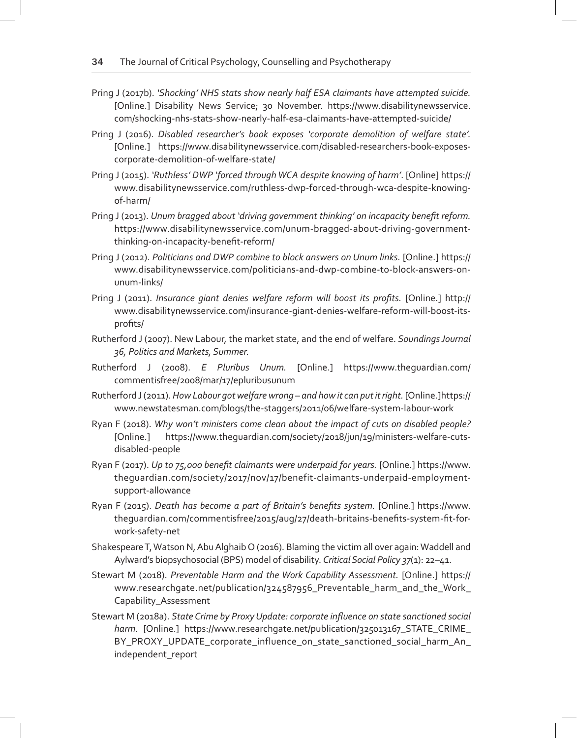- Pring J (2017b). *'Shocking' NHS stats show nearly half ESA claimants have attempted suicide.*  [Online.] Disability News Service; 30 November. https://www.disabilitynewsservice. com/shocking-nhs-stats-show-nearly-half-esa-claimants-have-attempted-suicide/
- Pring J (2016). *Disabled researcher's book exposes 'corporate demolition of welfare state'.*  [Online.] https://www.disabilitynewsservice.com/disabled-researchers-book-exposescorporate-demolition-of-welfare-state/
- Pring J (2015). *'Ruthless' DWP 'forced through WCA despite knowing of harm'*. [Online] https:// www.disabilitynewsservice.com/ruthless-dwp-forced-through-wca-despite-knowingof-harm/
- Pring J (2013). *Unum bragged about 'driving government thinking' on incapacity benefit reform.*  https://www.disabilitynewsservice.com/unum-bragged-about-driving-governmentthinking-on-incapacity-benefit-reform/
- Pring J (2012). *Politicians and DWP combine to block answers on Unum links.* [Online.] https:// www.disabilitynewsservice.com/politicians-and-dwp-combine-to-block-answers-onunum-links/
- Pring J (2011). *Insurance giant denies welfare reform will boost its profits.* [Online.] http:// www.disabilitynewsservice.com/insurance-giant-denies-welfare-reform-will-boost-itsprofits/
- Rutherford J (2007). New Labour, the market state, and the end of welfare. *Soundings Journal 36, Politics and Markets, Summer.*
- Rutherford J (2008). *E Pluribus Unum.* [Online.] https://www.theguardian.com/ commentisfree/2008/mar/17/epluribusunum
- Rutherford J (2011). *How Labour got welfare wrong and how it can put it right.* [Online.]https:// www.newstatesman.com/blogs/the-staggers/2011/06/welfare-system-labour-work
- Ryan F (2018). *Why won't ministers come clean about the impact of cuts on disabled people?*  [Online.] https://www.theguardian.com/society/2018/jun/19/ministers-welfare-cutsdisabled-people
- Ryan F (2017). *Up to 75,000 benefit claimants were underpaid for years.* [Online.] https://www. theguardian.com/society/2017/nov/17/benefit-claimants-underpaid-employmentsupport-allowance
- Ryan F (2015). *Death has become a part of Britain's benefits system.* [Online.] https://www. theguardian.com/commentisfree/2015/aug/27/death-britains-benefits-system-fit-forwork-safety-net
- Shakespeare T, Watson N, Abu Alghaib O (2016). Blaming the victim all over again: Waddell and Aylward's biopsychosocial (BPS) model of disability. *Critical Social Policy 37*(1): 22–41.
- Stewart M (2018). *Preventable Harm and the Work Capability Assessment.* [Online.] https:// www.researchgate.net/publication/324587956\_Preventable\_harm\_and\_the\_Work\_ Capability\_Assessment
- Stewart M (2018a). *State Crime by Proxy Update: corporate influence on state sanctioned social harm.* [Online.] https://www.researchgate.net/publication/325013167\_STATE\_CRIME\_ BY\_PROXY\_UPDATE\_corporate\_influence\_on\_state\_sanctioned\_social\_harm\_An\_ independent\_report